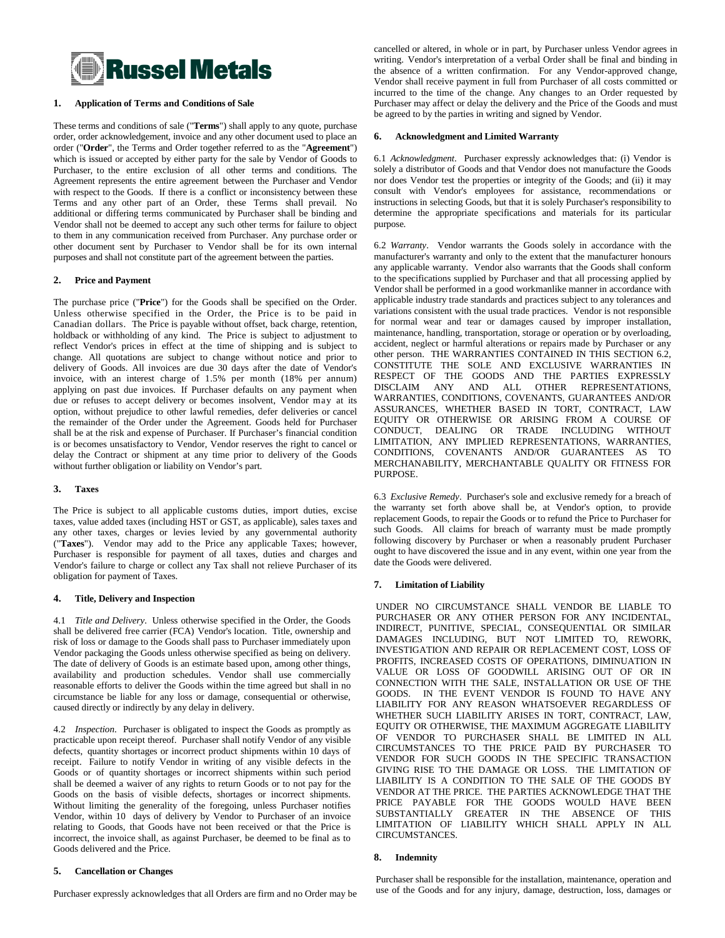

## **1. Application of Terms and Conditions of Sale**

These terms and conditions of sale ("**Terms**") shall apply to any quote, purchase order, order acknowledgement, invoice and any other document used to place an order ("**Order**", the Terms and Order together referred to as the "**Agreement**") which is issued or accepted by either party for the sale by Vendor of Goods to Purchaser, to the entire exclusion of all other terms and conditions. The Agreement represents the entire agreement between the Purchaser and Vendor with respect to the Goods. If there is a conflict or inconsistency between these Terms and any other part of an Order, these Terms shall prevail. No additional or differing terms communicated by Purchaser shall be binding and Vendor shall not be deemed to accept any such other terms for failure to object to them in any communication received from Purchaser. Any purchase order or other document sent by Purchaser to Vendor shall be for its own internal purposes and shall not constitute part of the agreement between the parties.

#### **2. Price and Payment**

The purchase price ("**Price**") for the Goods shall be specified on the Order. Unless otherwise specified in the Order, the Price is to be paid in Canadian dollars. The Price is payable without offset, back charge, retention, holdback or withholding of any kind. The Price is subject to adjustment to reflect Vendor's prices in effect at the time of shipping and is subject to change. All quotations are subject to change without notice and prior to delivery of Goods. All invoices are due 30 days after the date of Vendor's invoice, with an interest charge of 1.5% per month (18% per annum) applying on past due invoices. If Purchaser defaults on any payment when due or refuses to accept delivery or becomes insolvent, Vendor may at its option, without prejudice to other lawful remedies, defer deliveries or cancel the remainder of the Order under the Agreement. Goods held for Purchaser shall be at the risk and expense of Purchaser. If Purchaser's financial condition is or becomes unsatisfactory to Vendor, Vendor reserves the right to cancel or delay the Contract or shipment at any time prior to delivery of the Goods without further obligation or liability on Vendor's part.

#### **3. Taxes**

The Price is subject to all applicable customs duties, import duties, excise taxes, value added taxes (including HST or GST, as applicable), sales taxes and any other taxes, charges or levies levied by any governmental authority ("**Taxes**"). Vendor may add to the Price any applicable Taxes; however, Purchaser is responsible for payment of all taxes, duties and charges and Vendor's failure to charge or collect any Tax shall not relieve Purchaser of its obligation for payment of Taxes.

#### **4. Title, Delivery and Inspection**

4.1 *Title and Delivery*. Unless otherwise specified in the Order, the Goods shall be delivered free carrier (FCA) Vendor's location. Title, ownership and risk of loss or damage to the Goods shall pass to Purchaser immediately upon Vendor packaging the Goods unless otherwise specified as being on delivery. The date of delivery of Goods is an estimate based upon, among other things, availability and production schedules. Vendor shall use commercially reasonable efforts to deliver the Goods within the time agreed but shall in no circumstance be liable for any loss or damage, consequential or otherwise, caused directly or indirectly by any delay in delivery.

4.2 *Inspection*. Purchaser is obligated to inspect the Goods as promptly as practicable upon receipt thereof. Purchaser shall notify Vendor of any visible defects, quantity shortages or incorrect product shipments within 10 days of receipt. Failure to notify Vendor in writing of any visible defects in the Goods or of quantity shortages or incorrect shipments within such period shall be deemed a waiver of any rights to return Goods or to not pay for the Goods on the basis of visible defects, shortages or incorrect shipments. Without limiting the generality of the foregoing, unless Purchaser notifies Vendor, within 10 days of delivery by Vendor to Purchaser of an invoice relating to Goods, that Goods have not been received or that the Price is incorrect, the invoice shall, as against Purchaser, be deemed to be final as to Goods delivered and the Price.

#### **5. Cancellation or Changes**

Purchaser expressly acknowledges that all Orders are firm and no Order may be

cancelled or altered, in whole or in part, by Purchaser unless Vendor agrees in writing. Vendor's interpretation of a verbal Order shall be final and binding in the absence of a written confirmation. For any Vendor-approved change, Vendor shall receive payment in full from Purchaser of all costs committed or incurred to the time of the change. Any changes to an Order requested by Purchaser may affect or delay the delivery and the Price of the Goods and must be agreed to by the parties in writing and signed by Vendor.

#### **6. Acknowledgment and Limited Warranty**

6.1 *Acknowledgment*. Purchaser expressly acknowledges that: (i) Vendor is solely a distributor of Goods and that Vendor does not manufacture the Goods nor does Vendor test the properties or integrity of the Goods; and (ii) it may consult with Vendor's employees for assistance, recommendations or instructions in selecting Goods, but that it is solely Purchaser's responsibility to determine the appropriate specifications and materials for its particular purpose.

6.2 *Warranty*. Vendor warrants the Goods solely in accordance with the manufacturer's warranty and only to the extent that the manufacturer honours any applicable warranty. Vendor also warrants that the Goods shall conform to the specifications supplied by Purchaser and that all processing applied by Vendor shall be performed in a good workmanlike manner in accordance with applicable industry trade standards and practices subject to any tolerances and variations consistent with the usual trade practices. Vendor is not responsible for normal wear and tear or damages caused by improper installation, maintenance, handling, transportation, storage or operation or by overloading, accident, neglect or harmful alterations or repairs made by Purchaser or any other person. THE WARRANTIES CONTAINED IN THIS SECTION 6.2, CONSTITUTE THE SOLE AND EXCLUSIVE WARRANTIES IN RESPECT OF THE GOODS AND THE PARTIES EXPRESSLY DISCLAIM ANY AND ALL OTHER REPRESENTATIONS, WARRANTIES, CONDITIONS, COVENANTS, GUARANTEES AND/OR ASSURANCES, WHETHER BASED IN TORT, CONTRACT, LAW EQUITY OR OTHERWISE OR ARISING FROM A COURSE OF CONDUCT, DEALING OR TRADE INCLUDING WITHOUT LIMITATION, ANY IMPLIED REPRESENTATIONS, WARRANTIES, CONDITIONS, COVENANTS AND/OR GUARANTEES AS TO MERCHANABILITY, MERCHANTABLE QUALITY OR FITNESS FOR PURPOSE.

6.3 *Exclusive Remedy*. Purchaser's sole and exclusive remedy for a breach of the warranty set forth above shall be, at Vendor's option, to provide replacement Goods, to repair the Goods or to refund the Price to Purchaser for such Goods. All claims for breach of warranty must be made promptly following discovery by Purchaser or when a reasonably prudent Purchaser ought to have discovered the issue and in any event, within one year from the date the Goods were delivered.

#### **7. Limitation of Liability**

UNDER NO CIRCUMSTANCE SHALL VENDOR BE LIABLE TO PURCHASER OR ANY OTHER PERSON FOR ANY INCIDENTAL, INDIRECT, PUNITIVE, SPECIAL, CONSEQUENTIAL OR SIMILAR DAMAGES INCLUDING, BUT NOT LIMITED TO, REWORK, INVESTIGATION AND REPAIR OR REPLACEMENT COST, LOSS OF PROFITS, INCREASED COSTS OF OPERATIONS, DIMINUATION IN VALUE OR LOSS OF GOODWILL ARISING OUT OF OR IN CONNECTION WITH THE SALE, INSTALLATION OR USE OF THE GOODS. IN THE EVENT VENDOR IS FOUND TO HAVE ANY LIABILITY FOR ANY REASON WHATSOEVER REGARDLESS OF WHETHER SUCH LIABILITY ARISES IN TORT, CONTRACT, LAW, EQUITY OR OTHERWISE, THE MAXIMUM AGGREGATE LIABILITY OF VENDOR TO PURCHASER SHALL BE LIMITED IN ALL CIRCUMSTANCES TO THE PRICE PAID BY PURCHASER TO VENDOR FOR SUCH GOODS IN THE SPECIFIC TRANSACTION GIVING RISE TO THE DAMAGE OR LOSS. THE LIMITATION OF LIABILITY IS A CONDITION TO THE SALE OF THE GOODS BY VENDOR AT THE PRICE. THE PARTIES ACKNOWLEDGE THAT THE PRICE PAYABLE FOR THE GOODS WOULD HAVE BEEN SUBSTANTIALLY GREATER IN THE ABSENCE OF THIS LIMITATION OF LIABILITY WHICH SHALL APPLY IN ALL CIRCUMSTANCES.

#### **8. Indemnity**

Purchaser shall be responsible for the installation, maintenance, operation and use of the Goods and for any injury, damage, destruction, loss, damages or